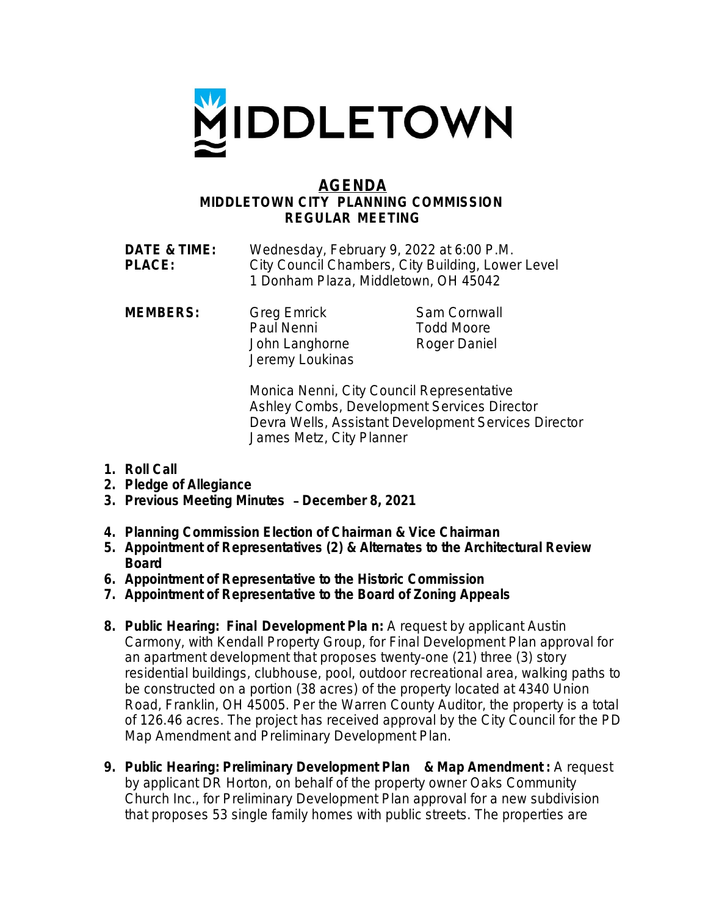

## **AGENDA MIDDLETOWN CITY PLANNING COMMISSION REGULAR MEETING**

| <b>DATE &amp; TIME:</b> | Wednesday, February 9, 2022 at 6:00 P.M.          |
|-------------------------|---------------------------------------------------|
| <b>PLACE:</b>           | City Council Chambers, City Building, Lower Level |
|                         | 1 Donham Plaza, Middletown, OH 45042              |

**MEMBERS:** Greg Emrick Sam Cornwall Paul Nenni Todd Moore John Langhorne Roger Daniel Jeremy Loukinas

Monica Nenni, City Council Representative Ashley Combs, Development Services Director Devra Wells, Assistant Development Services Director James Metz, City Planner

- **1. Roll Call**
- **2. Pledge of Allegiance**
- **3. Previous Meeting Minutes** – **December 8, 2021**
- **4. Planning Commission Election of Chairman & Vice Chairman**
- **5. Appointment of Representatives (2) & Alternates to the Architectural Review Board**
- **6. Appointment of Representative to the Historic Commission**
- **7. Appointment of Representative to the Board of Zoning Appeals**
- **8. Public Hearing: Final Development Pla n:** A request by applicant Austin Carmony, with Kendall Property Group, for Final Development Plan approval for an apartment development that proposes twenty-one (21) three (3) story residential buildings, clubhouse, pool, outdoor recreational area, walking paths to be constructed on a portion (38 acres) of the property located at 4340 Union Road, Franklin, OH 45005. Per the Warren County Auditor, the property is a total of 126.46 acres. The project has received approval by the City Council for the PD Map Amendment and Preliminary Development Plan.
- **9. Public Hearing: Preliminary Development Plan & Map Amendment :** A request by applicant DR Horton, on behalf of the property owner Oaks Community Church Inc., for Preliminary Development Plan approval for a new subdivision that proposes 53 single family homes with public streets. The properties are